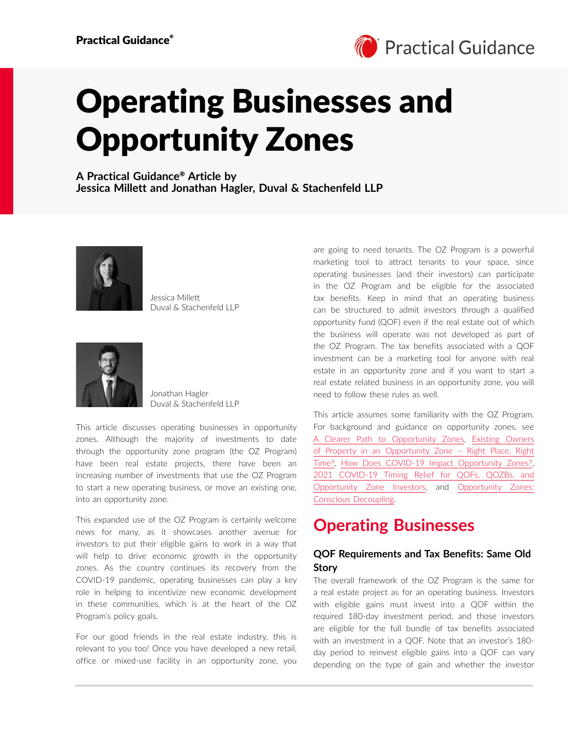

# Operating Businesses and Opportunity Zones

**A Practical Guidance**® **Article by Jessica Millett and Jonathan Hagler, Duval & Stachenfeld LLP**



Jessica Millett Duval & Stachenfeld LLP



Jonathan Hagler Duval & Stachenfeld LLP

This article discusses operating businesses in opportunity zones. Although the majority of investments to date through the opportunity zone program (the OZ Program) have been real estate projects, there have been an increasing number of investments that use the OZ Program to start a new operating business, or move an existing one, into an opportunity zone.

This expanded use of the OZ Program is certainly welcome news for many, as it showcases another avenue for investors to put their eligible gains to work in a way that will help to drive economic growth in the opportunity zones. As the country continues its recovery from the COVID-19 pandemic, operating businesses can play a key role in helping to incentivize new economic development in these communities, which is at the heart of the OZ Program's policy goals.

For our good friends in the real estate industry, this is relevant to you too! Once you have developed a new retail, office or mixed-use facility in an opportunity zone, you are going to need tenants. The OZ Program is a powerful marketing tool to attract tenants to your space, since operating businesses (and their investors) can participate in the OZ Program and be eligible for the associated tax benefits. Keep in mind that an operating business can be structured to admit investors through a qualified opportunity fund (QOF) even if the real estate out of which the business will operate was not developed as part of the OZ Program. The tax benefits associated with a QOF investment can be a marketing tool for anyone with real estate in an opportunity zone and if you want to start a real estate related business in an opportunity zone, you will need to follow these rules as well.

This article assumes some familiarity with the OZ Program. For background and guidance on opportunity zones, see A Clearer Path to Opportunity Zones, Existing Owners of Property in an Opportunity Zone – Right Place, Right Time?, How Does COVID-19 Impact Opportunity Zones?, 2021 COVID-19 Timing Relief for QOFs, QOZBs, and Opportunity Zone Investors, and Opportunity Zones: Conscious Decoupling.

### **Operating Businesses**

### **QOF Requirements and Tax Benefits: Same Old Story**

The overall framework of the OZ Program is the same for a real estate project as for an operating business. Investors with eligible gains must invest into a QOF within the required 180-day investment period, and those investors are eligible for the full bundle of tax benefits associated with an investment in a QOF. Note that an investor's 180 day period to reinvest eligible gains into a QOF can vary depending on the type of gain and whether the investor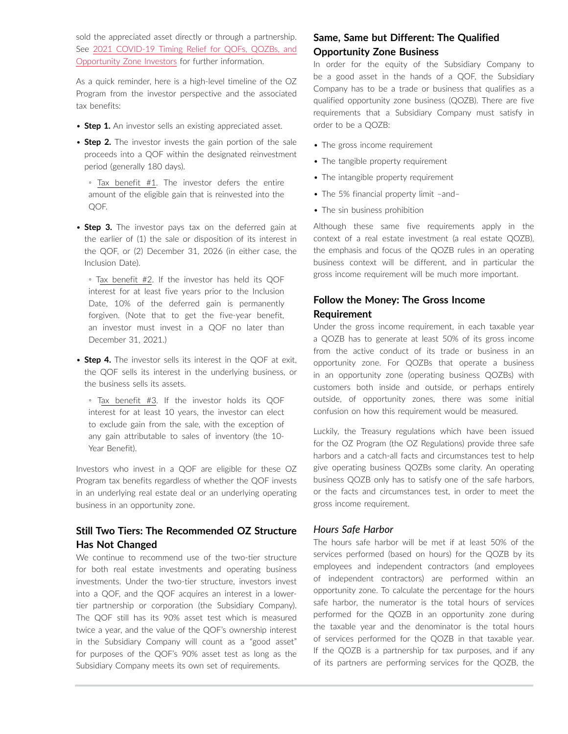sold the appreciated asset directly or through a partnership. See 2021 COVID-19 Timing Relief for QOFs, QOZBs, and Opportunity Zone Investors for further information.

As a quick reminder, here is a high-level timeline of the OZ Program from the investor perspective and the associated tax benefits:

- **Step 1.** An investor sells an existing appreciated asset.
- **Step 2.** The investor invests the gain portion of the sale proceeds into a QOF within the designated reinvestment period (generally 180 days).
	- Tax benefit #1. The investor defers the entire amount of the eligible gain that is reinvested into the QOF.
- **Step 3.** The investor pays tax on the deferred gain at the earlier of (1) the sale or disposition of its interest in the QOF, or (2) December 31, 2026 (in either case, the Inclusion Date).

◦ Tax benefit #2. If the investor has held its QOF interest for at least five years prior to the Inclusion Date, 10% of the deferred gain is permanently forgiven. (Note that to get the five-year benefit, an investor must invest in a QOF no later than December 31, 2021.)

• **Step 4.** The investor sells its interest in the QOF at exit, the QOF sells its interest in the underlying business, or the business sells its assets.

◦ Tax benefit #3. If the investor holds its QOF interest for at least 10 years, the investor can elect to exclude gain from the sale, with the exception of any gain attributable to sales of inventory (the 10- Year Benefit).

Investors who invest in a QOF are eligible for these OZ Program tax benefits regardless of whether the QOF invests in an underlying real estate deal or an underlying operating business in an opportunity zone.

### **Still Two Tiers: The Recommended OZ Structure Has Not Changed**

We continue to recommend use of the two-tier structure for both real estate investments and operating business investments. Under the two-tier structure, investors invest into a QOF, and the QOF acquires an interest in a lowertier partnership or corporation (the Subsidiary Company). The QOF still has its 90% asset test which is measured twice a year, and the value of the QOF's ownership interest in the Subsidiary Company will count as a "good asset" for purposes of the QOF's 90% asset test as long as the Subsidiary Company meets its own set of requirements.

### **Same, Same but Different: The Qualified Opportunity Zone Business**

In order for the equity of the Subsidiary Company to be a good asset in the hands of a QOF, the Subsidiary Company has to be a trade or business that qualifies as a qualified opportunity zone business (QOZB). There are five requirements that a Subsidiary Company must satisfy in order to be a QOZB:

- The gross income requirement
- The tangible property requirement
- The intangible property requirement
- The 5% financial property limit –and–
- The sin business prohibition

Although these same five requirements apply in the context of a real estate investment (a real estate QOZB), the emphasis and focus of the QOZB rules in an operating business context will be different, and in particular the gross income requirement will be much more important.

### **Follow the Money: The Gross Income Requirement**

Under the gross income requirement, in each taxable year a QOZB has to generate at least 50% of its gross income from the active conduct of its trade or business in an opportunity zone. For QOZBs that operate a business in an opportunity zone (operating business QOZBs) with customers both inside and outside, or perhaps entirely outside, of opportunity zones, there was some initial confusion on how this requirement would be measured.

Luckily, the Treasury regulations which have been issued for the OZ Program (the OZ Regulations) provide three safe harbors and a catch-all facts and circumstances test to help give operating business QOZBs some clarity. An operating business QOZB only has to satisfy one of the safe harbors, or the facts and circumstances test, in order to meet the gross income requirement.

#### *Hours Safe Harbor*

The hours safe harbor will be met if at least 50% of the services performed (based on hours) for the QOZB by its employees and independent contractors (and employees of independent contractors) are performed within an opportunity zone. To calculate the percentage for the hours safe harbor, the numerator is the total hours of services performed for the QOZB in an opportunity zone during the taxable year and the denominator is the total hours of services performed for the QOZB in that taxable year. If the QOZB is a partnership for tax purposes, and if any of its partners are performing services for the QOZB, the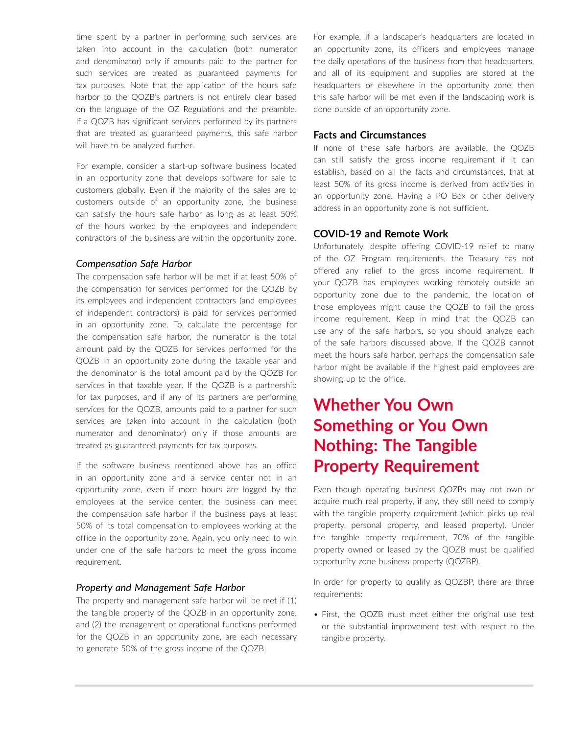time spent by a partner in performing such services are taken into account in the calculation (both numerator and denominator) only if amounts paid to the partner for such services are treated as guaranteed payments for tax purposes. Note that the application of the hours safe harbor to the QOZB's partners is not entirely clear based on the language of the OZ Regulations and the preamble. If a QOZB has significant services performed by its partners that are treated as guaranteed payments, this safe harbor will have to be analyzed further.

For example, consider a start-up software business located in an opportunity zone that develops software for sale to customers globally. Even if the majority of the sales are to customers outside of an opportunity zone, the business can satisfy the hours safe harbor as long as at least 50% of the hours worked by the employees and independent contractors of the business are within the opportunity zone.

#### *Compensation Safe Harbor*

The compensation safe harbor will be met if at least 50% of the compensation for services performed for the QOZB by its employees and independent contractors (and employees of independent contractors) is paid for services performed in an opportunity zone. To calculate the percentage for the compensation safe harbor, the numerator is the total amount paid by the QOZB for services performed for the QOZB in an opportunity zone during the taxable year and the denominator is the total amount paid by the QOZB for services in that taxable year. If the QOZB is a partnership for tax purposes, and if any of its partners are performing services for the QOZB, amounts paid to a partner for such services are taken into account in the calculation (both numerator and denominator) only if those amounts are treated as guaranteed payments for tax purposes.

If the software business mentioned above has an office in an opportunity zone and a service center not in an opportunity zone, even if more hours are logged by the employees at the service center, the business can meet the compensation safe harbor if the business pays at least 50% of its total compensation to employees working at the office in the opportunity zone. Again, you only need to win under one of the safe harbors to meet the gross income requirement.

#### *Property and Management Safe Harbor*

The property and management safe harbor will be met if (1) the tangible property of the QOZB in an opportunity zone, and (2) the management or operational functions performed for the QOZB in an opportunity zone, are each necessary to generate 50% of the gross income of the QOZB.

For example, if a landscaper's headquarters are located in an opportunity zone, its officers and employees manage the daily operations of the business from that headquarters, and all of its equipment and supplies are stored at the headquarters or elsewhere in the opportunity zone, then this safe harbor will be met even if the landscaping work is done outside of an opportunity zone.

#### **Facts and Circumstances**

If none of these safe harbors are available, the QOZB can still satisfy the gross income requirement if it can establish, based on all the facts and circumstances, that at least 50% of its gross income is derived from activities in an opportunity zone. Having a PO Box or other delivery address in an opportunity zone is not sufficient.

#### **COVID-19 and Remote Work**

Unfortunately, despite offering COVID-19 relief to many of the OZ Program requirements, the Treasury has not offered any relief to the gross income requirement. If your QOZB has employees working remotely outside an opportunity zone due to the pandemic, the location of those employees might cause the QOZB to fail the gross income requirement. Keep in mind that the QOZB can use any of the safe harbors, so you should analyze each of the safe harbors discussed above. If the QOZB cannot meet the hours safe harbor, perhaps the compensation safe harbor might be available if the highest paid employees are showing up to the office.

# **Whether You Own Something or You Own Nothing: The Tangible Property Requirement**

Even though operating business QOZBs may not own or acquire much real property, if any, they still need to comply with the tangible property requirement (which picks up real property, personal property, and leased property). Under the tangible property requirement, 70% of the tangible property owned or leased by the QOZB must be qualified opportunity zone business property (QOZBP).

In order for property to qualify as QOZBP, there are three requirements:

• First, the QOZB must meet either the original use test or the substantial improvement test with respect to the tangible property.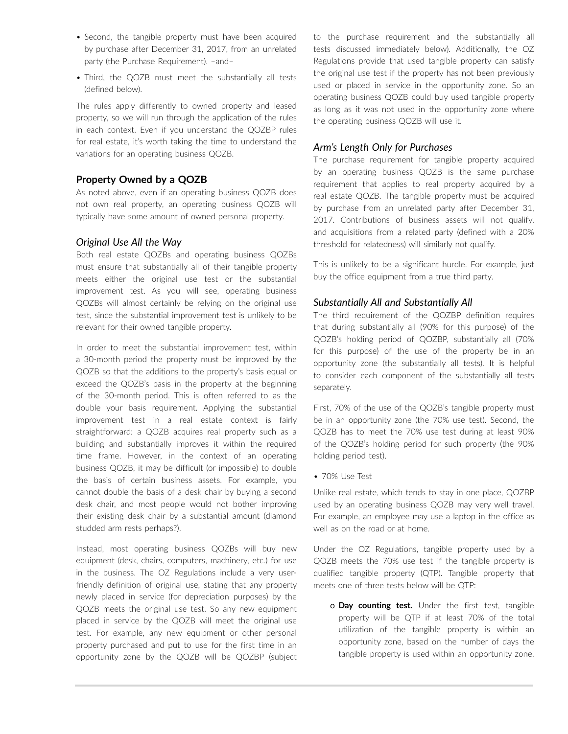- Second, the tangible property must have been acquired by purchase after December 31, 2017, from an unrelated party (the Purchase Requirement). –and–
- Third, the QOZB must meet the substantially all tests (defined below).

The rules apply differently to owned property and leased property, so we will run through the application of the rules in each context. Even if you understand the QOZBP rules for real estate, it's worth taking the time to understand the variations for an operating business QOZB.

#### **Property Owned by a QOZB**

As noted above, even if an operating business QOZB does not own real property, an operating business QOZB will typically have some amount of owned personal property.

#### *Original Use All the Way*

Both real estate QOZBs and operating business QOZBs must ensure that substantially all of their tangible property meets either the original use test or the substantial improvement test. As you will see, operating business QOZBs will almost certainly be relying on the original use test, since the substantial improvement test is unlikely to be relevant for their owned tangible property.

In order to meet the substantial improvement test, within a 30-month period the property must be improved by the QOZB so that the additions to the property's basis equal or exceed the QOZB's basis in the property at the beginning of the 30-month period. This is often referred to as the double your basis requirement. Applying the substantial improvement test in a real estate context is fairly straightforward: a QOZB acquires real property such as a building and substantially improves it within the required time frame. However, in the context of an operating business QOZB, it may be difficult (or impossible) to double the basis of certain business assets. For example, you cannot double the basis of a desk chair by buying a second desk chair, and most people would not bother improving their existing desk chair by a substantial amount (diamond studded arm rests perhaps?).

Instead, most operating business QOZBs will buy new equipment (desk, chairs, computers, machinery, etc.) for use in the business. The OZ Regulations include a very userfriendly definition of original use, stating that any property newly placed in service (for depreciation purposes) by the QOZB meets the original use test. So any new equipment placed in service by the QOZB will meet the original use test. For example, any new equipment or other personal property purchased and put to use for the first time in an opportunity zone by the QOZB will be QOZBP (subject to the purchase requirement and the substantially all tests discussed immediately below). Additionally, the OZ Regulations provide that used tangible property can satisfy the original use test if the property has not been previously used or placed in service in the opportunity zone. So an operating business QOZB could buy used tangible property as long as it was not used in the opportunity zone where the operating business QOZB will use it.

#### *Arm's Length Only for Purchases*

The purchase requirement for tangible property acquired by an operating business QOZB is the same purchase requirement that applies to real property acquired by a real estate QOZB. The tangible property must be acquired by purchase from an unrelated party after December 31, 2017. Contributions of business assets will not qualify, and acquisitions from a related party (defined with a 20% threshold for relatedness) will similarly not qualify.

This is unlikely to be a significant hurdle. For example, just buy the office equipment from a true third party.

#### *Substantially All and Substantially All*

The third requirement of the QOZBP definition requires that during substantially all (90% for this purpose) of the QOZB's holding period of QOZBP, substantially all (70% for this purpose) of the use of the property be in an opportunity zone (the substantially all tests). It is helpful to consider each component of the substantially all tests separately.

First, 70% of the use of the QOZB's tangible property must be in an opportunity zone (the 70% use test). Second, the QOZB has to meet the 70% use test during at least 90% of the QOZB's holding period for such property (the 90% holding period test).

• 70% Use Test

Unlike real estate, which tends to stay in one place, QOZBP used by an operating business QOZB may very well travel. For example, an employee may use a laptop in the office as well as on the road or at home.

Under the OZ Regulations, tangible property used by a QOZB meets the 70% use test if the tangible property is qualified tangible property (QTP). Tangible property that meets one of three tests below will be QTP:

o **Day counting test.** Under the first test, tangible property will be QTP if at least 70% of the total utilization of the tangible property is within an opportunity zone, based on the number of days the tangible property is used within an opportunity zone.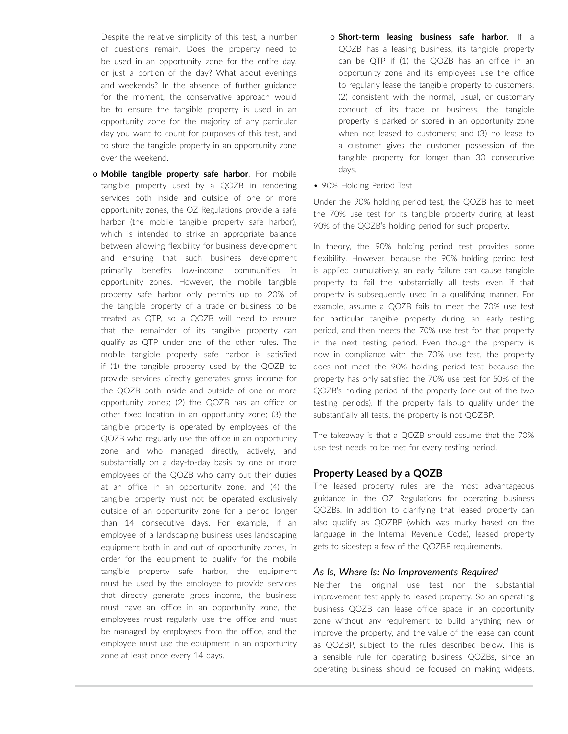Despite the relative simplicity of this test, a number of questions remain. Does the property need to be used in an opportunity zone for the entire day, or just a portion of the day? What about evenings and weekends? In the absence of further guidance for the moment, the conservative approach would be to ensure the tangible property is used in an opportunity zone for the majority of any particular day you want to count for purposes of this test, and to store the tangible property in an opportunity zone over the weekend.

- o **Mobile tangible property safe harbor**. For mobile tangible property used by a QOZB in rendering services both inside and outside of one or more opportunity zones, the OZ Regulations provide a safe harbor (the mobile tangible property safe harbor), which is intended to strike an appropriate balance between allowing flexibility for business development and ensuring that such business development primarily benefits low-income communities in opportunity zones. However, the mobile tangible property safe harbor only permits up to 20% of the tangible property of a trade or business to be treated as QTP, so a QOZB will need to ensure that the remainder of its tangible property can qualify as QTP under one of the other rules. The mobile tangible property safe harbor is satisfied if (1) the tangible property used by the QOZB to provide services directly generates gross income for the QOZB both inside and outside of one or more opportunity zones; (2) the QOZB has an office or other fixed location in an opportunity zone; (3) the tangible property is operated by employees of the QOZB who regularly use the office in an opportunity zone and who managed directly, actively, and substantially on a day-to-day basis by one or more employees of the QOZB who carry out their duties at an office in an opportunity zone; and (4) the tangible property must not be operated exclusively outside of an opportunity zone for a period longer than 14 consecutive days. For example, if an employee of a landscaping business uses landscaping equipment both in and out of opportunity zones, in order for the equipment to qualify for the mobile tangible property safe harbor, the equipment must be used by the employee to provide services that directly generate gross income, the business must have an office in an opportunity zone, the employees must regularly use the office and must be managed by employees from the office, and the employee must use the equipment in an opportunity zone at least once every 14 days.
- o **Short-term leasing business safe harbor**. If a QOZB has a leasing business, its tangible property can be QTP if (1) the QOZB has an office in an opportunity zone and its employees use the office to regularly lease the tangible property to customers; (2) consistent with the normal, usual, or customary conduct of its trade or business, the tangible property is parked or stored in an opportunity zone when not leased to customers; and (3) no lease to a customer gives the customer possession of the tangible property for longer than 30 consecutive days.
- 90% Holding Period Test

Under the 90% holding period test, the QOZB has to meet the 70% use test for its tangible property during at least 90% of the QOZB's holding period for such property.

In theory, the 90% holding period test provides some flexibility. However, because the 90% holding period test is applied cumulatively, an early failure can cause tangible property to fail the substantially all tests even if that property is subsequently used in a qualifying manner. For example, assume a QOZB fails to meet the 70% use test for particular tangible property during an early testing period, and then meets the 70% use test for that property in the next testing period. Even though the property is now in compliance with the 70% use test, the property does not meet the 90% holding period test because the property has only satisfied the 70% use test for 50% of the QOZB's holding period of the property (one out of the two testing periods). If the property fails to qualify under the substantially all tests, the property is not QOZBP.

The takeaway is that a QOZB should assume that the 70% use test needs to be met for every testing period.

#### **Property Leased by a QOZB**

The leased property rules are the most advantageous guidance in the OZ Regulations for operating business QOZBs. In addition to clarifying that leased property can also qualify as QOZBP (which was murky based on the language in the Internal Revenue Code), leased property gets to sidestep a few of the QOZBP requirements.

#### *As Is, Where Is: No Improvements Required*

Neither the original use test nor the substantial improvement test apply to leased property. So an operating business QOZB can lease office space in an opportunity zone without any requirement to build anything new or improve the property, and the value of the lease can count as QOZBP, subject to the rules described below. This is a sensible rule for operating business QOZBs, since an operating business should be focused on making widgets,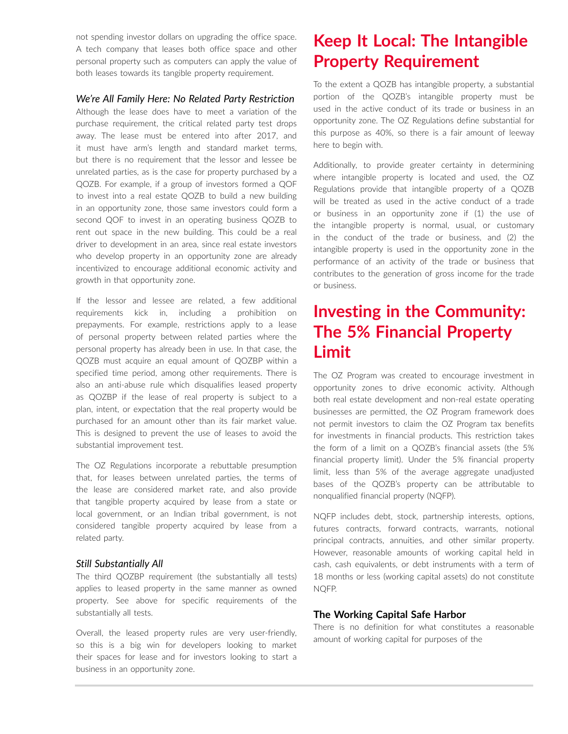not spending investor dollars on upgrading the office space. A tech company that leases both office space and other personal property such as computers can apply the value of both leases towards its tangible property requirement.

#### *We're All Family Here: No Related Party Restriction*

Although the lease does have to meet a variation of the purchase requirement, the critical related party test drops away. The lease must be entered into after 2017, and it must have arm's length and standard market terms, but there is no requirement that the lessor and lessee be unrelated parties, as is the case for property purchased by a QOZB. For example, if a group of investors formed a QOF to invest into a real estate QOZB to build a new building in an opportunity zone, those same investors could form a second QOF to invest in an operating business QOZB to rent out space in the new building. This could be a real driver to development in an area, since real estate investors who develop property in an opportunity zone are already incentivized to encourage additional economic activity and growth in that opportunity zone.

If the lessor and lessee are related, a few additional requirements kick in, including a prohibition on prepayments. For example, restrictions apply to a lease of personal property between related parties where the personal property has already been in use. In that case, the QOZB must acquire an equal amount of QOZBP within a specified time period, among other requirements. There is also an anti-abuse rule which disqualifies leased property as QOZBP if the lease of real property is subject to a plan, intent, or expectation that the real property would be purchased for an amount other than its fair market value. This is designed to prevent the use of leases to avoid the substantial improvement test.

The OZ Regulations incorporate a rebuttable presumption that, for leases between unrelated parties, the terms of the lease are considered market rate, and also provide that tangible property acquired by lease from a state or local government, or an Indian tribal government, is not considered tangible property acquired by lease from a related party.

#### *Still Substantially All*

The third QOZBP requirement (the substantially all tests) applies to leased property in the same manner as owned property. See above for specific requirements of the substantially all tests.

Overall, the leased property rules are very user-friendly, so this is a big win for developers looking to market their spaces for lease and for investors looking to start a business in an opportunity zone.

## **Keep It Local: The Intangible Property Requirement**

To the extent a QOZB has intangible property, a substantial portion of the QOZB's intangible property must be used in the active conduct of its trade or business in an opportunity zone. The OZ Regulations define substantial for this purpose as 40%, so there is a fair amount of leeway here to begin with.

Additionally, to provide greater certainty in determining where intangible property is located and used, the OZ Regulations provide that intangible property of a QOZB will be treated as used in the active conduct of a trade or business in an opportunity zone if (1) the use of the intangible property is normal, usual, or customary in the conduct of the trade or business, and (2) the intangible property is used in the opportunity zone in the performance of an activity of the trade or business that contributes to the generation of gross income for the trade or business.

### **Investing in the Community: The 5% Financial Property Limit**

The OZ Program was created to encourage investment in opportunity zones to drive economic activity. Although both real estate development and non-real estate operating businesses are permitted, the OZ Program framework does not permit investors to claim the OZ Program tax benefits for investments in financial products. This restriction takes the form of a limit on a QOZB's financial assets (the 5% financial property limit). Under the 5% financial property limit, less than 5% of the average aggregate unadjusted bases of the QOZB's property can be attributable to nonqualified financial property (NQFP).

NQFP includes debt, stock, partnership interests, options, futures contracts, forward contracts, warrants, notional principal contracts, annuities, and other similar property. However, reasonable amounts of working capital held in cash, cash equivalents, or debt instruments with a term of 18 months or less (working capital assets) do not constitute NQFP.

#### **The Working Capital Safe Harbor**

There is no definition for what constitutes a reasonable amount of working capital for purposes of the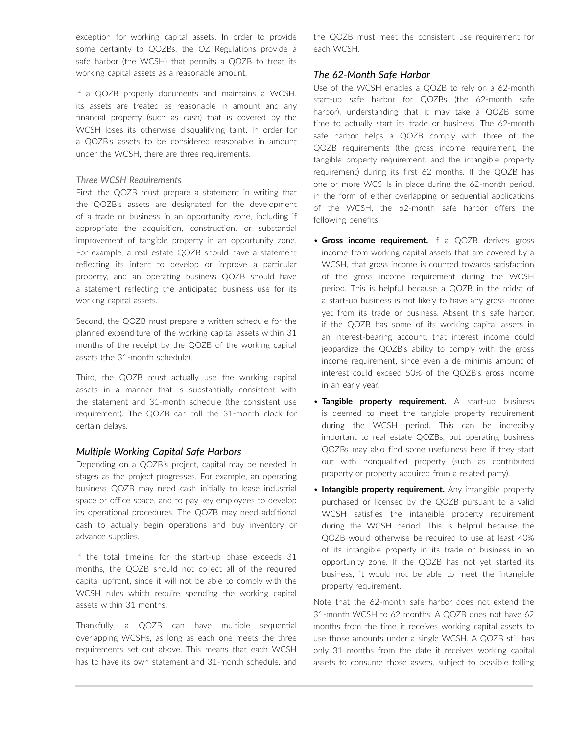exception for working capital assets. In order to provide some certainty to QOZBs, the OZ Regulations provide a safe harbor (the WCSH) that permits a QOZB to treat its working capital assets as a reasonable amount.

If a QOZB properly documents and maintains a WCSH, its assets are treated as reasonable in amount and any financial property (such as cash) that is covered by the WCSH loses its otherwise disqualifying taint. In order for a QOZB's assets to be considered reasonable in amount under the WCSH, there are three requirements.

#### *Three WCSH Requirements*

First, the QOZB must prepare a statement in writing that the QOZB's assets are designated for the development of a trade or business in an opportunity zone, including if appropriate the acquisition, construction, or substantial improvement of tangible property in an opportunity zone. For example, a real estate QOZB should have a statement reflecting its intent to develop or improve a particular property, and an operating business QOZB should have a statement reflecting the anticipated business use for its working capital assets.

Second, the QOZB must prepare a written schedule for the planned expenditure of the working capital assets within 31 months of the receipt by the QOZB of the working capital assets (the 31-month schedule).

Third, the QOZB must actually use the working capital assets in a manner that is substantially consistent with the statement and 31-month schedule (the consistent use requirement). The QOZB can toll the 31-month clock for certain delays.

#### *Multiple Working Capital Safe Harbors*

Depending on a QOZB's project, capital may be needed in stages as the project progresses. For example, an operating business QOZB may need cash initially to lease industrial space or office space, and to pay key employees to develop its operational procedures. The QOZB may need additional cash to actually begin operations and buy inventory or advance supplies.

If the total timeline for the start-up phase exceeds 31 months, the QOZB should not collect all of the required capital upfront, since it will not be able to comply with the WCSH rules which require spending the working capital assets within 31 months.

Thankfully, a QOZB can have multiple sequential overlapping WCSHs, as long as each one meets the three requirements set out above. This means that each WCSH has to have its own statement and 31-month schedule, and the QOZB must meet the consistent use requirement for each WCSH.

#### *The 62-Month Safe Harbor*

Use of the WCSH enables a QOZB to rely on a 62-month start-up safe harbor for QOZBs (the 62-month safe harbor), understanding that it may take a QOZB some time to actually start its trade or business. The 62-month safe harbor helps a QOZB comply with three of the QOZB requirements (the gross income requirement, the tangible property requirement, and the intangible property requirement) during its first 62 months. If the QOZB has one or more WCSHs in place during the 62-month period, in the form of either overlapping or sequential applications of the WCSH, the 62-month safe harbor offers the following benefits:

- **Gross income requirement.** If a QOZB derives gross income from working capital assets that are covered by a WCSH, that gross income is counted towards satisfaction of the gross income requirement during the WCSH period. This is helpful because a QOZB in the midst of a start-up business is not likely to have any gross income yet from its trade or business. Absent this safe harbor, if the QOZB has some of its working capital assets in an interest-bearing account, that interest income could jeopardize the QOZB's ability to comply with the gross income requirement, since even a de minimis amount of interest could exceed 50% of the QOZB's gross income in an early year.
- **Tangible property requirement.** A start-up business is deemed to meet the tangible property requirement during the WCSH period. This can be incredibly important to real estate QOZBs, but operating business QOZBs may also find some usefulness here if they start out with nonqualified property (such as contributed property or property acquired from a related party).
- **Intangible property requirement.** Any intangible property purchased or licensed by the QOZB pursuant to a valid WCSH satisfies the intangible property requirement during the WCSH period. This is helpful because the QOZB would otherwise be required to use at least 40% of its intangible property in its trade or business in an opportunity zone. If the QOZB has not yet started its business, it would not be able to meet the intangible property requirement.

Note that the 62-month safe harbor does not extend the 31-month WCSH to 62 months. A QOZB does not have 62 months from the time it receives working capital assets to use those amounts under a single WCSH. A QOZB still has only 31 months from the date it receives working capital assets to consume those assets, subject to possible tolling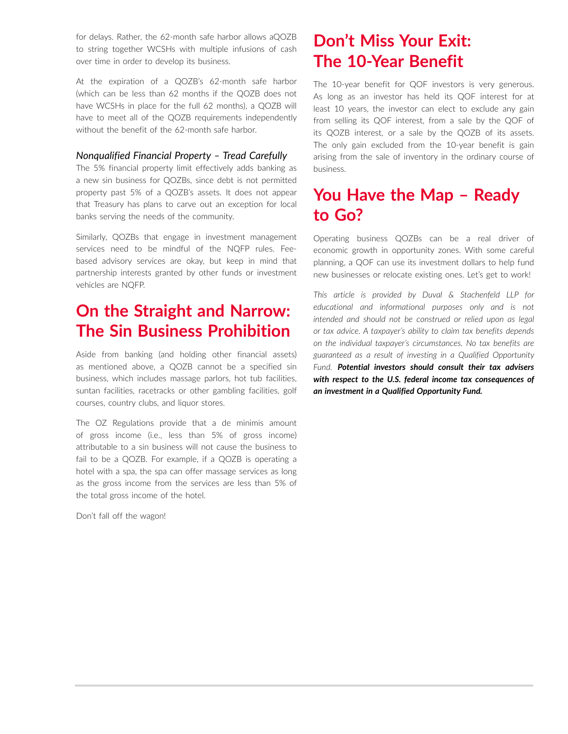for delays. Rather, the 62-month safe harbor allows aQOZB to string together WCSHs with multiple infusions of cash over time in order to develop its business.

At the expiration of a QOZB's 62-month safe harbor (which can be less than 62 months if the QOZB does not have WCSHs in place for the full 62 months), a QOZB will have to meet all of the QOZB requirements independently without the benefit of the 62-month safe harbor.

#### *Nonqualified Financial Property – Tread Carefully*

The 5% financial property limit effectively adds banking as a new sin business for QOZBs, since debt is not permitted property past 5% of a QOZB's assets. It does not appear that Treasury has plans to carve out an exception for local banks serving the needs of the community.

Similarly, QOZBs that engage in investment management services need to be mindful of the NQFP rules. Feebased advisory services are okay, but keep in mind that partnership interests granted by other funds or investment vehicles are NQFP.

# **On the Straight and Narrow: The Sin Business Prohibition**

Aside from banking (and holding other financial assets) as mentioned above, a QOZB cannot be a specified sin business, which includes massage parlors, hot tub facilities, suntan facilities, racetracks or other gambling facilities, golf courses, country clubs, and liquor stores.

The OZ Regulations provide that a de minimis amount of gross income (i.e., less than 5% of gross income) attributable to a sin business will not cause the business to fail to be a QOZB. For example, if a QOZB is operating a hotel with a spa, the spa can offer massage services as long as the gross income from the services are less than 5% of the total gross income of the hotel.

Don't fall off the wagon!

# **Don't Miss Your Exit: The 10-Year Benefit**

The 10-year benefit for QOF investors is very generous. As long as an investor has held its QOF interest for at least 10 years, the investor can elect to exclude any gain from selling its QOF interest, from a sale by the QOF of its QOZB interest, or a sale by the QOZB of its assets. The only gain excluded from the 10-year benefit is gain arising from the sale of inventory in the ordinary course of business.

### **You Have the Map – Ready to Go?**

Operating business QOZBs can be a real driver of economic growth in opportunity zones. With some careful planning, a QOF can use its investment dollars to help fund new businesses or relocate existing ones. Let's get to work!

*This article is provided by Duval & Stachenfeld LLP for educational and informational purposes only and is not intended and should not be construed or relied upon as legal or tax advice. A taxpayer's ability to claim tax benefits depends on the individual taxpayer's circumstances. No tax benefits are guaranteed as a result of investing in a Qualified Opportunity Fund. Potential investors should consult their tax advisers with respect to the U.S. federal income tax consequences of an investment in a Qualified Opportunity Fund.*